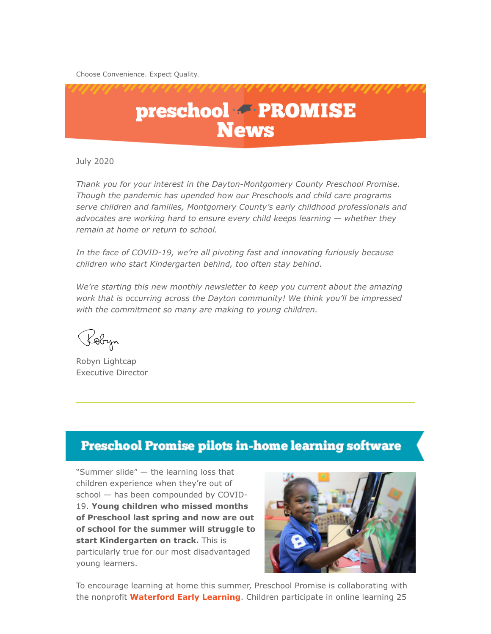Choose Convenience. Expect Quality.



July 2020

*Thank you for your interest in the Dayton-Montgomery County Preschool Promise. Though the pandemic has upended how our Preschools and child care programs serve children and families, Montgomery County's early childhood professionals and advocates are working hard to ensure every child keeps learning — whether they remain at home or return to school.*

*In the face of COVID-19, we're all pivoting fast and innovating furiously because children who start Kindergarten behind, too often stay behind.*

*We're starting this new monthly newsletter to keep you current about the amazing work that is occurring across the Dayton community! We think you'll be impressed with the commitment so many are making to young children.*

Pobyn

Robyn Lightcap Executive Director

### **Preschool Promise pilots in-home learning software**

"Summer slide" — the learning loss that children experience when they're out of school — has been compounded by COVID-19. **Young children who missed months of Preschool last spring and now are out of school for the summer will struggle to start Kindergarten on track.** This is particularly true for our most disadvantaged young learners.



To encourage learning at home this summer, Preschool Promise is collaborating with the nonprofit **[Waterford Early Learning](https://www.waterford.org/waterford-early-learning/)**. Children participate in online learning 25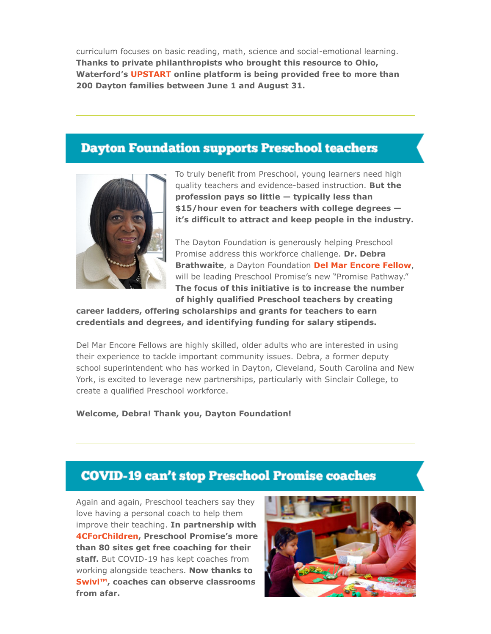curriculum focuses on basic reading, math, science and social-emotional learning. **Thanks to private philanthropists who brought this resource to Ohio, Waterford's [UPSTART](https://www.waterfordupstart.org/how-it-works/) online platform is being provided free to more than 200 Dayton families between June 1 and August 31.**

### **Dayton Foundation supports Preschool teachers**



To truly benefit from Preschool, young learners need high quality teachers and evidence-based instruction. **But the profession pays so little — typically less than \$15/hour even for teachers with college degrees it's difficult to attract and keep people in the industry.**

The Dayton Foundation is generously helping Preschool Promise address this workforce challenge. **Dr. Debra Brathwaite**, a Dayton Foundation **[Del Mar Encore Fellow](https://www.daytonfoundation.org/delmarencore.html)**, will be leading Preschool Promise's new "Promise Pathway." **The focus of this initiative is to increase the number of highly qualified Preschool teachers by creating**

**career ladders, offering scholarships and grants for teachers to earn credentials and degrees, and identifying funding for salary stipends.**

Del Mar Encore Fellows are highly skilled, older adults who are interested in using their experience to tackle important community issues. Debra, a former deputy school superintendent who has worked in Dayton, Cleveland, South Carolina and New York, is excited to leverage new partnerships, particularly with Sinclair College, to create a qualified Preschool workforce.

**Welcome, Debra! Thank you, Dayton Foundation!**

### **COVID-19 can't stop Preschool Promise coaches**

Again and again, Preschool teachers say they love having a personal coach to help them improve their teaching. **In partnership with [4CForChildren](https://www.4cforchildren.org/), Preschool Promise's more than 80 sites get free coaching for their staff.** But COVID-19 has kept coaches from working alongside teachers. **Now thanks to [Swivl™,](https://www.swivl.com/) coaches can observe classrooms from afar.**